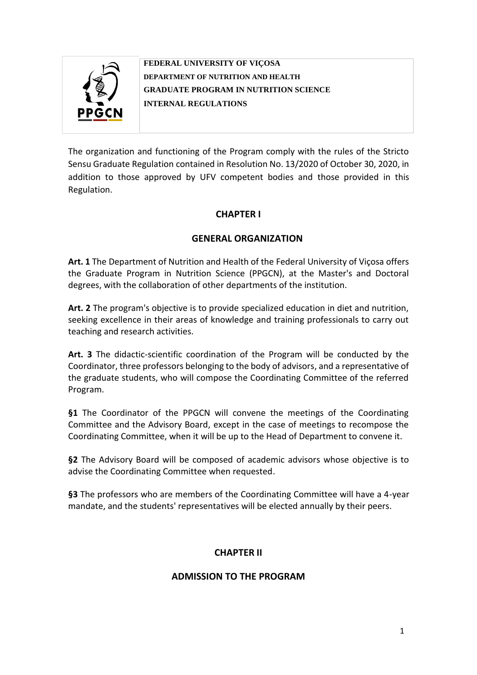

**FEDERAL UNIVERSITY OF VIÇOSA DEPARTMENT OF NUTRITION AND HEALTH GRADUATE PROGRAM IN NUTRITION SCIENCE INTERNAL REGULATIONS**

The organization and functioning of the Program comply with the rules of the Stricto Sensu Graduate Regulation contained in Resolution No. 13/2020 of October 30, 2020, in addition to those approved by UFV competent bodies and those provided in this Regulation.

# **CHAPTER I**

# **GENERAL ORGANIZATION**

**Art. 1** The Department of Nutrition and Health of the Federal University of Viçosa offers the Graduate Program in Nutrition Science (PPGCN), at the Master's and Doctoral degrees, with the collaboration of other departments of the institution.

**Art. 2** The program's objective is to provide specialized education in diet and nutrition, seeking excellence in their areas of knowledge and training professionals to carry out teaching and research activities.

**Art. 3** The didactic-scientific coordination of the Program will be conducted by the Coordinator, three professors belonging to the body of advisors, and a representative of the graduate students, who will compose the Coordinating Committee of the referred Program.

**§1** The Coordinator of the PPGCN will convene the meetings of the Coordinating Committee and the Advisory Board, except in the case of meetings to recompose the Coordinating Committee, when it will be up to the Head of Department to convene it.

**§2** The Advisory Board will be composed of academic advisors whose objective is to advise the Coordinating Committee when requested.

**§3** The professors who are members of the Coordinating Committee will have a 4-year mandate, and the students' representatives will be elected annually by their peers.

# **CHAPTER II**

# **ADMISSION TO THE PROGRAM**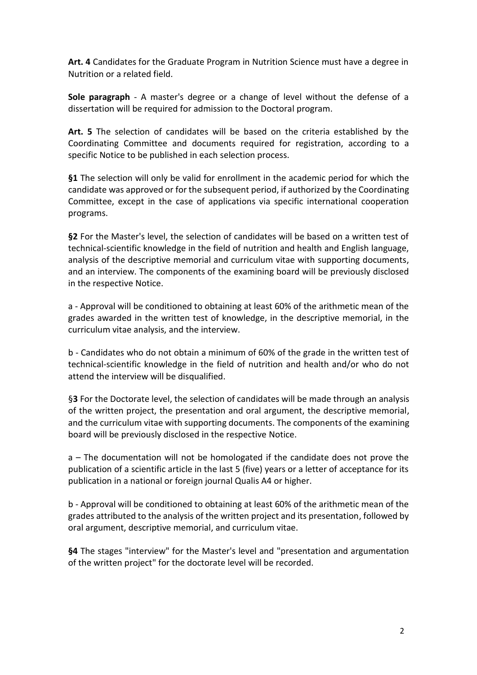**Art. 4** Candidates for the Graduate Program in Nutrition Science must have a degree in Nutrition or a related field.

**Sole paragraph** - A master's degree or a change of level without the defense of a dissertation will be required for admission to the Doctoral program.

**Art. 5** The selection of candidates will be based on the criteria established by the Coordinating Committee and documents required for registration, according to a specific Notice to be published in each selection process.

**§1** The selection will only be valid for enrollment in the academic period for which the candidate was approved or for the subsequent period, if authorized by the Coordinating Committee, except in the case of applications via specific international cooperation programs.

**§2** For the Master's level, the selection of candidates will be based on a written test of technical-scientific knowledge in the field of nutrition and health and English language, analysis of the descriptive memorial and curriculum vitae with supporting documents, and an interview. The components of the examining board will be previously disclosed in the respective Notice.

a - Approval will be conditioned to obtaining at least 60% of the arithmetic mean of the grades awarded in the written test of knowledge, in the descriptive memorial, in the curriculum vitae analysis, and the interview.

b - Candidates who do not obtain a minimum of 60% of the grade in the written test of technical-scientific knowledge in the field of nutrition and health and/or who do not attend the interview will be disqualified.

§**3** For the Doctorate level, the selection of candidates will be made through an analysis of the written project, the presentation and oral argument, the descriptive memorial, and the curriculum vitae with supporting documents. The components of the examining board will be previously disclosed in the respective Notice.

a – The documentation will not be homologated if the candidate does not prove the publication of a scientific article in the last 5 (five) years or a letter of acceptance for its publication in a national or foreign journal Qualis A4 or higher.

b - Approval will be conditioned to obtaining at least 60% of the arithmetic mean of the grades attributed to the analysis of the written project and its presentation, followed by oral argument, descriptive memorial, and curriculum vitae.

**§4** The stages "interview" for the Master's level and "presentation and argumentation of the written project" for the doctorate level will be recorded.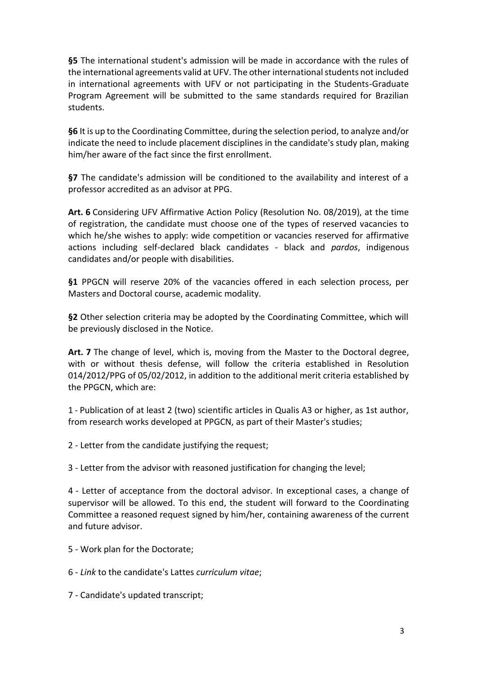**§5** The international student's admission will be made in accordance with the rules of the international agreements valid at UFV. The other international students not included in international agreements with UFV or not participating in the Students-Graduate Program Agreement will be submitted to the same standards required for Brazilian students.

**§6** It is up to the Coordinating Committee, during the selection period, to analyze and/or indicate the need to include placement disciplines in the candidate's study plan, making him/her aware of the fact since the first enrollment.

**§7** The candidate's admission will be conditioned to the availability and interest of a professor accredited as an advisor at PPG.

**Art. 6** Considering UFV Affirmative Action Policy (Resolution No. 08/2019), at the time of registration, the candidate must choose one of the types of reserved vacancies to which he/she wishes to apply: wide competition or vacancies reserved for affirmative actions including self-declared black candidates - black and *pardos*, indigenous candidates and/or people with disabilities.

**§1** PPGCN will reserve 20% of the vacancies offered in each selection process, per Masters and Doctoral course, academic modality.

**§2** Other selection criteria may be adopted by the Coordinating Committee, which will be previously disclosed in the Notice.

**Art. 7** The change of level, which is, moving from the Master to the Doctoral degree, with or without thesis defense, will follow the criteria established in Resolution 014/2012/PPG of 05/02/2012, in addition to the additional merit criteria established by the PPGCN, which are:

1 - Publication of at least 2 (two) scientific articles in Qualis A3 or higher, as 1st author, from research works developed at PPGCN, as part of their Master's studies;

2 - Letter from the candidate justifying the request;

3 - Letter from the advisor with reasoned justification for changing the level;

4 - Letter of acceptance from the doctoral advisor. In exceptional cases, a change of supervisor will be allowed. To this end, the student will forward to the Coordinating Committee a reasoned request signed by him/her, containing awareness of the current and future advisor.

5 - Work plan for the Doctorate;

6 - *Link* to the candidate's Lattes *curriculum vitae*;

7 - Candidate's updated transcript;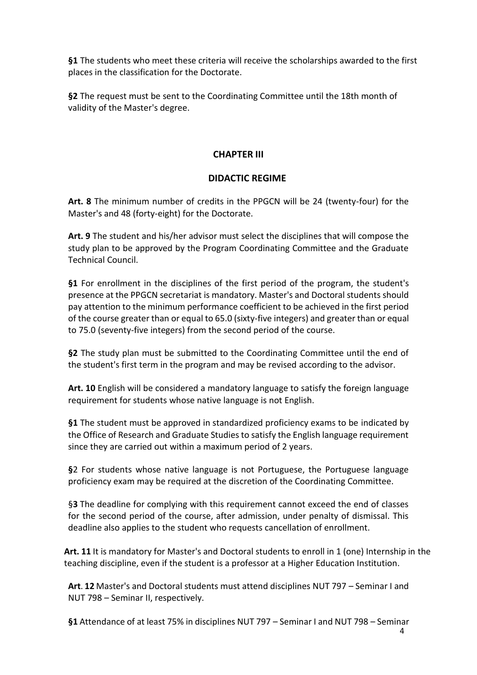**§1** The students who meet these criteria will receive the scholarships awarded to the first places in the classification for the Doctorate.

**§2** The request must be sent to the Coordinating Committee until the 18th month of validity of the Master's degree.

## **CHAPTER III**

## **DIDACTIC REGIME**

**Art. 8** The minimum number of credits in the PPGCN will be 24 (twenty-four) for the Master's and 48 (forty-eight) for the Doctorate.

**Art. 9** The student and his/her advisor must select the disciplines that will compose the study plan to be approved by the Program Coordinating Committee and the Graduate Technical Council.

**§1** For enrollment in the disciplines of the first period of the program, the student's presence at the PPGCN secretariat is mandatory. Master's and Doctoral students should pay attention to the minimum performance coefficient to be achieved in the first period of the course greater than or equal to 65.0 (sixty-five integers) and greater than or equal to 75.0 (seventy-five integers) from the second period of the course.

**§2** The study plan must be submitted to the Coordinating Committee until the end of the student's first term in the program and may be revised according to the advisor.

**Art. 10** English will be considered a mandatory language to satisfy the foreign language requirement for students whose native language is not English.

**§1** The student must be approved in standardized proficiency exams to be indicated by the Office of Research and Graduate Studies to satisfy the English language requirement since they are carried out within a maximum period of 2 years.

**§**2 For students whose native language is not Portuguese, the Portuguese language proficiency exam may be required at the discretion of the Coordinating Committee.

§**3** The deadline for complying with this requirement cannot exceed the end of classes for the second period of the course, after admission, under penalty of dismissal. This deadline also applies to the student who requests cancellation of enrollment.

**Art. 11** It is mandatory for Master's and Doctoral students to enroll in 1 (one) Internship in the teaching discipline, even if the student is a professor at a Higher Education Institution.

**Art**. **12** Master's and Doctoral students must attend disciplines NUT 797 – Seminar I and NUT 798 – Seminar II, respectively.

**§1** Attendance of at least 75% in disciplines NUT 797 – Seminar I and NUT 798 – Seminar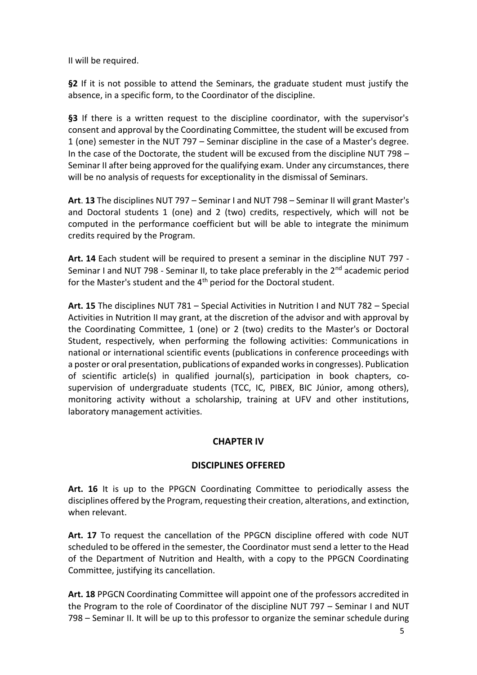II will be required.

**§2** If it is not possible to attend the Seminars, the graduate student must justify the absence, in a specific form, to the Coordinator of the discipline.

§3 If there is a written request to the discipline coordinator, with the supervisor's consent and approval by the Coordinating Committee, the student will be excused from 1 (one) semester in the NUT 797 – Seminar discipline in the case of a Master's degree. In the case of the Doctorate, the student will be excused from the discipline NUT 798 – Seminar II after being approved for the qualifying exam. Under any circumstances, there will be no analysis of requests for exceptionality in the dismissal of Seminars.

**Art**. **13** The disciplines NUT 797 – Seminar I and NUT 798 – Seminar II will grant Master's and Doctoral students 1 (one) and 2 (two) credits, respectively, which will not be computed in the performance coefficient but will be able to integrate the minimum credits required by the Program.

**Art. 14** Each student will be required to present a seminar in the discipline NUT 797 - Seminar I and NUT 798 - Seminar II, to take place preferably in the 2<sup>nd</sup> academic period for the Master's student and the 4<sup>th</sup> period for the Doctoral student.

**Art. 15** The disciplines NUT 781 – Special Activities in Nutrition I and NUT 782 – Special Activities in Nutrition II may grant, at the discretion of the advisor and with approval by the Coordinating Committee, 1 (one) or 2 (two) credits to the Master's or Doctoral Student, respectively, when performing the following activities: Communications in national or international scientific events (publications in conference proceedings with a poster or oral presentation, publications of expanded works in congresses). Publication of scientific article(s) in qualified journal(s), participation in book chapters, cosupervision of undergraduate students (TCC, IC, PIBEX, BIC Júnior, among others), monitoring activity without a scholarship, training at UFV and other institutions, laboratory management activities.

# **CHAPTER IV**

# **DISCIPLINES OFFERED**

**Art. 16** It is up to the PPGCN Coordinating Committee to periodically assess the disciplines offered by the Program, requesting their creation, alterations, and extinction, when relevant.

**Art. 17** To request the cancellation of the PPGCN discipline offered with code NUT scheduled to be offered in the semester, the Coordinator must send a letter to the Head of the Department of Nutrition and Health, with a copy to the PPGCN Coordinating Committee, justifying its cancellation.

**Art. 18** PPGCN Coordinating Committee will appoint one of the professors accredited in the Program to the role of Coordinator of the discipline NUT 797 – Seminar I and NUT 798 – Seminar II. It will be up to this professor to organize the seminar schedule during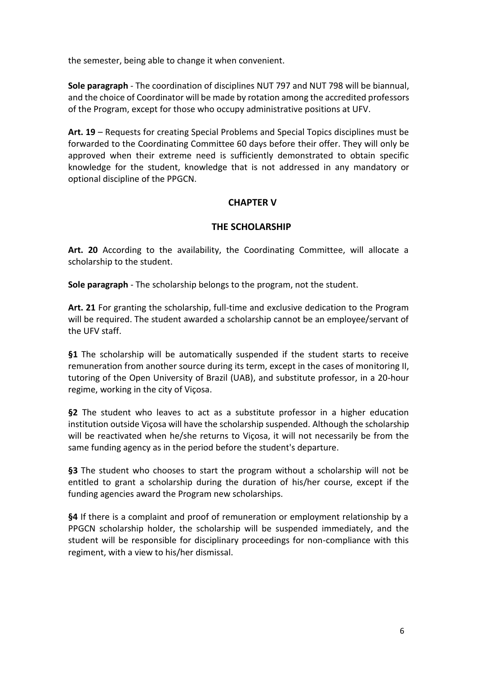the semester, being able to change it when convenient.

**Sole paragraph** - The coordination of disciplines NUT 797 and NUT 798 will be biannual, and the choice of Coordinator will be made by rotation among the accredited professors of the Program, except for those who occupy administrative positions at UFV.

**Art. 19** – Requests for creating Special Problems and Special Topics disciplines must be forwarded to the Coordinating Committee 60 days before their offer. They will only be approved when their extreme need is sufficiently demonstrated to obtain specific knowledge for the student, knowledge that is not addressed in any mandatory or optional discipline of the PPGCN.

## **CHAPTER V**

### **THE SCHOLARSHIP**

**Art. 20** According to the availability, the Coordinating Committee, will allocate a scholarship to the student.

**Sole paragraph** - The scholarship belongs to the program, not the student.

**Art. 21** For granting the scholarship, full-time and exclusive dedication to the Program will be required. The student awarded a scholarship cannot be an employee/servant of the UFV staff.

**§1** The scholarship will be automatically suspended if the student starts to receive remuneration from another source during its term, except in the cases of monitoring II, tutoring of the Open University of Brazil (UAB), and substitute professor, in a 20-hour regime, working in the city of Viçosa.

**§2** The student who leaves to act as a substitute professor in a higher education institution outside Viçosa will have the scholarship suspended. Although the scholarship will be reactivated when he/she returns to Viçosa, it will not necessarily be from the same funding agency as in the period before the student's departure.

**§3** The student who chooses to start the program without a scholarship will not be entitled to grant a scholarship during the duration of his/her course, except if the funding agencies award the Program new scholarships.

**§4** If there is a complaint and proof of remuneration or employment relationship by a PPGCN scholarship holder, the scholarship will be suspended immediately, and the student will be responsible for disciplinary proceedings for non-compliance with this regiment, with a view to his/her dismissal.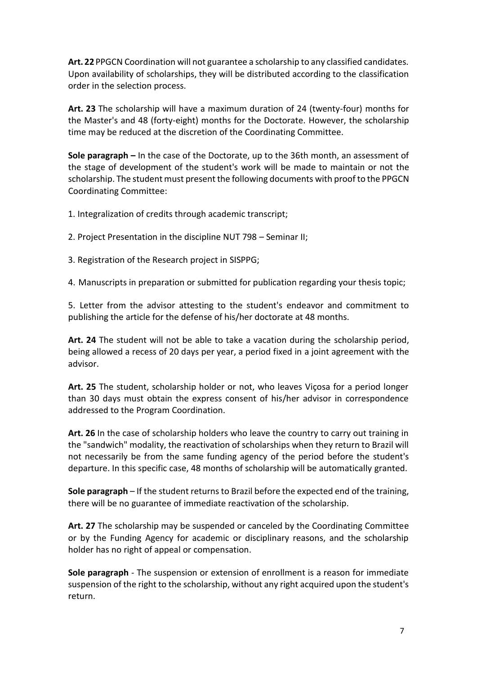**Art. 22** PPGCN Coordination will not guarantee a scholarship to any classified candidates. Upon availability of scholarships, they will be distributed according to the classification order in the selection process.

**Art. 23** The scholarship will have a maximum duration of 24 (twenty-four) months for the Master's and 48 (forty-eight) months for the Doctorate. However, the scholarship time may be reduced at the discretion of the Coordinating Committee.

**Sole paragraph –** In the case of the Doctorate, up to the 36th month, an assessment of the stage of development of the student's work will be made to maintain or not the scholarship. The student must present the following documents with proof to the PPGCN Coordinating Committee:

1. Integralization of credits through academic transcript;

2. Project Presentation in the discipline NUT 798 – Seminar II;

3. Registration of the Research project in SISPPG;

4. Manuscripts in preparation or submitted for publication regarding your thesis topic;

5. Letter from the advisor attesting to the student's endeavor and commitment to publishing the article for the defense of his/her doctorate at 48 months.

**Art. 24** The student will not be able to take a vacation during the scholarship period, being allowed a recess of 20 days per year, a period fixed in a joint agreement with the advisor.

**Art. 25** The student, scholarship holder or not, who leaves Viçosa for a period longer than 30 days must obtain the express consent of his/her advisor in correspondence addressed to the Program Coordination.

**Art. 26** In the case of scholarship holders who leave the country to carry out training in the "sandwich" modality, the reactivation of scholarships when they return to Brazil will not necessarily be from the same funding agency of the period before the student's departure. In this specific case, 48 months of scholarship will be automatically granted.

**Sole paragraph** – If the student returns to Brazil before the expected end of the training, there will be no guarantee of immediate reactivation of the scholarship.

**Art. 27** The scholarship may be suspended or canceled by the Coordinating Committee or by the Funding Agency for academic or disciplinary reasons, and the scholarship holder has no right of appeal or compensation.

**Sole paragraph** - The suspension or extension of enrollment is a reason for immediate suspension of the right to the scholarship, without any right acquired upon the student's return.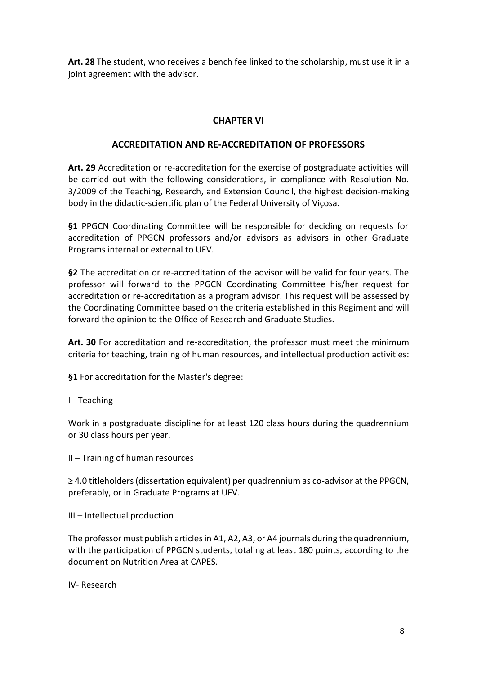**Art. 28** The student, who receives a bench fee linked to the scholarship, must use it in a joint agreement with the advisor.

# **CHAPTER VI**

## **ACCREDITATION AND RE-ACCREDITATION OF PROFESSORS**

**Art. 29** Accreditation or re-accreditation for the exercise of postgraduate activities will be carried out with the following considerations, in compliance with Resolution No. 3/2009 of the Teaching, Research, and Extension Council, the highest decision-making body in the didactic-scientific plan of the Federal University of Viçosa.

**§1** PPGCN Coordinating Committee will be responsible for deciding on requests for accreditation of PPGCN professors and/or advisors as advisors in other Graduate Programs internal or external to UFV.

**§2** The accreditation or re-accreditation of the advisor will be valid for four years. The professor will forward to the PPGCN Coordinating Committee his/her request for accreditation or re-accreditation as a program advisor. This request will be assessed by the Coordinating Committee based on the criteria established in this Regiment and will forward the opinion to the Office of Research and Graduate Studies.

**Art. 30** For accreditation and re-accreditation, the professor must meet the minimum criteria for teaching, training of human resources, and intellectual production activities:

**§1** For accreditation for the Master's degree:

I - Teaching

Work in a postgraduate discipline for at least 120 class hours during the quadrennium or 30 class hours per year.

II – Training of human resources

≥ 4.0 titleholders (dissertation equivalent) per quadrennium as co-advisor at the PPGCN, preferably, or in Graduate Programs at UFV.

III – Intellectual production

The professor must publish articles in A1, A2, A3, or A4 journals during the quadrennium, with the participation of PPGCN students, totaling at least 180 points, according to the document on Nutrition Area at CAPES.

IV- Research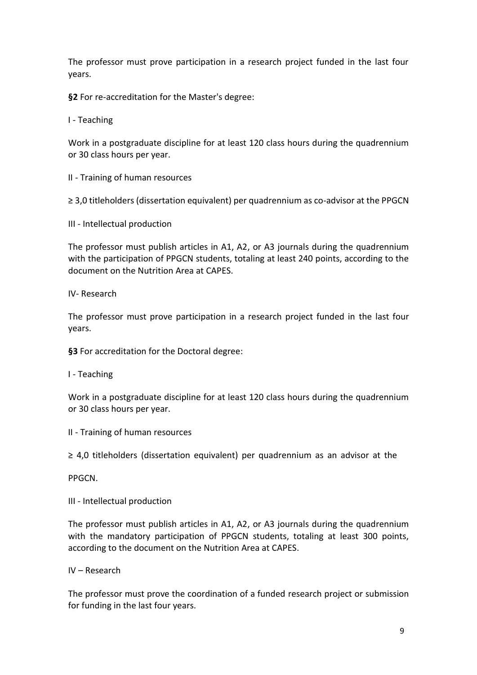The professor must prove participation in a research project funded in the last four years.

**§2** For re-accreditation for the Master's degree:

I - Teaching

Work in a postgraduate discipline for at least 120 class hours during the quadrennium or 30 class hours per year.

II - Training of human resources

≥ 3,0 titleholders (dissertation equivalent) per quadrennium as co-advisor at the PPGCN

III - Intellectual production

The professor must publish articles in A1, A2, or A3 journals during the quadrennium with the participation of PPGCN students, totaling at least 240 points, according to the document on the Nutrition Area at CAPES.

IV- Research

The professor must prove participation in a research project funded in the last four years.

**§3** For accreditation for the Doctoral degree:

I - Teaching

Work in a postgraduate discipline for at least 120 class hours during the quadrennium or 30 class hours per year.

II - Training of human resources

≥ 4,0 titleholders (dissertation equivalent) per quadrennium as an advisor at the

PPGCN.

III - Intellectual production

The professor must publish articles in A1, A2, or A3 journals during the quadrennium with the mandatory participation of PPGCN students, totaling at least 300 points, according to the document on the Nutrition Area at CAPES.

IV – Research

The professor must prove the coordination of a funded research project or submission for funding in the last four years.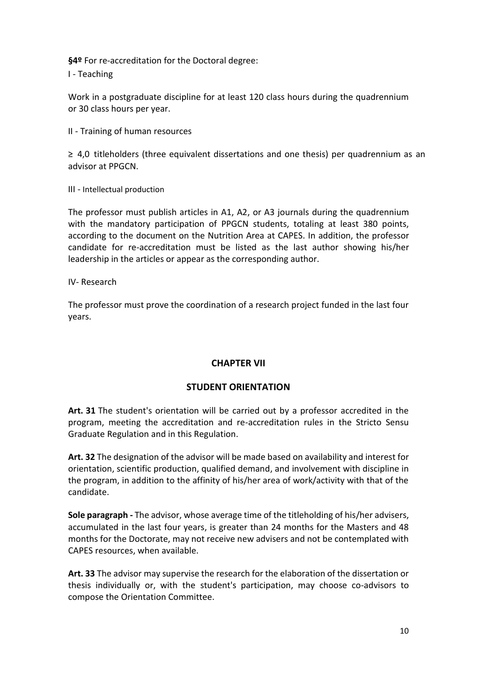**§4º** For re-accreditation for the Doctoral degree:

I - Teaching

Work in a postgraduate discipline for at least 120 class hours during the quadrennium or 30 class hours per year.

II - Training of human resources

≥ 4,0 titleholders (three equivalent dissertations and one thesis) per quadrennium as an advisor at PPGCN.

III - Intellectual production

The professor must publish articles in A1, A2, or A3 journals during the quadrennium with the mandatory participation of PPGCN students, totaling at least 380 points, according to the document on the Nutrition Area at CAPES. In addition, the professor candidate for re-accreditation must be listed as the last author showing his/her leadership in the articles or appear as the corresponding author.

IV- Research

The professor must prove the coordination of a research project funded in the last four years.

### **CHAPTER VII**

### **STUDENT ORIENTATION**

**Art. 31** The student's orientation will be carried out by a professor accredited in the program, meeting the accreditation and re-accreditation rules in the Stricto Sensu Graduate Regulation and in this Regulation.

**Art. 32** The designation of the advisor will be made based on availability and interest for orientation, scientific production, qualified demand, and involvement with discipline in the program, in addition to the affinity of his/her area of work/activity with that of the candidate.

**Sole paragraph -** The advisor, whose average time of the titleholding of his/her advisers, accumulated in the last four years, is greater than 24 months for the Masters and 48 months for the Doctorate, may not receive new advisers and not be contemplated with CAPES resources, when available.

**Art. 33** The advisor may supervise the research for the elaboration of the dissertation or thesis individually or, with the student's participation, may choose co-advisors to compose the Orientation Committee.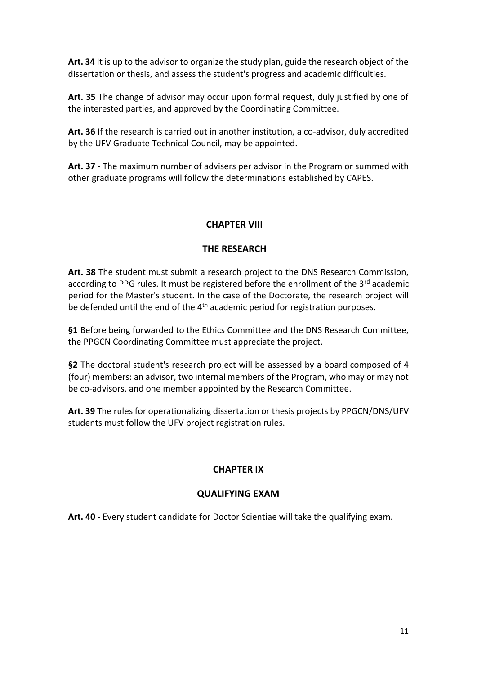**Art. 34** It is up to the advisor to organize the study plan, guide the research object of the dissertation or thesis, and assess the student's progress and academic difficulties.

**Art. 35** The change of advisor may occur upon formal request, duly justified by one of the interested parties, and approved by the Coordinating Committee.

**Art. 36** If the research is carried out in another institution, a co-advisor, duly accredited by the UFV Graduate Technical Council, may be appointed.

**Art. 37** - The maximum number of advisers per advisor in the Program or summed with other graduate programs will follow the determinations established by CAPES.

## **CHAPTER VIII**

## **THE RESEARCH**

**Art. 38** The student must submit a research project to the DNS Research Commission, according to PPG rules. It must be registered before the enrollment of the  $3<sup>rd</sup>$  academic period for the Master's student. In the case of the Doctorate, the research project will be defended until the end of the  $4<sup>th</sup>$  academic period for registration purposes.

**§1** Before being forwarded to the Ethics Committee and the DNS Research Committee, the PPGCN Coordinating Committee must appreciate the project.

**§2** The doctoral student's research project will be assessed by a board composed of 4 (four) members: an advisor, two internal members of the Program, who may or may not be co-advisors, and one member appointed by the Research Committee.

**Art. 39** The rules for operationalizing dissertation or thesis projects by PPGCN/DNS/UFV students must follow the UFV project registration rules.

# **CHAPTER IX**

# **QUALIFYING EXAM**

**Art. 40** - Every student candidate for Doctor Scientiae will take the qualifying exam.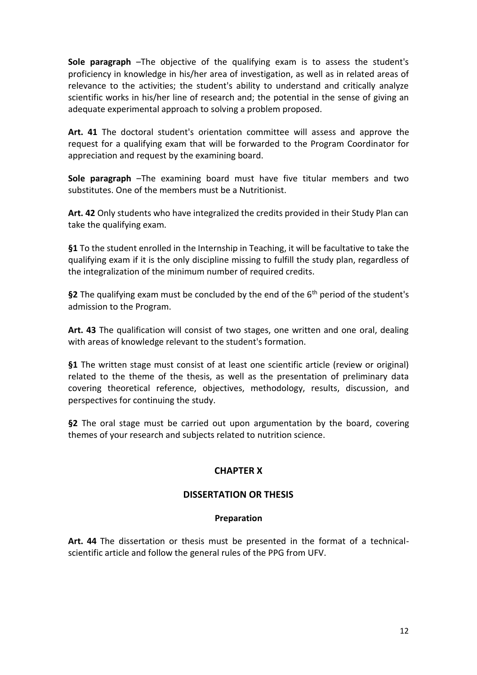**Sole paragraph** –The objective of the qualifying exam is to assess the student's proficiency in knowledge in his/her area of investigation, as well as in related areas of relevance to the activities; the student's ability to understand and critically analyze scientific works in his/her line of research and; the potential in the sense of giving an adequate experimental approach to solving a problem proposed.

**Art. 41** The doctoral student's orientation committee will assess and approve the request for a qualifying exam that will be forwarded to the Program Coordinator for appreciation and request by the examining board.

**Sole paragraph** –The examining board must have five titular members and two substitutes. One of the members must be a Nutritionist.

**Art. 42** Only students who have integralized the credits provided in their Study Plan can take the qualifying exam.

**§1** To the student enrolled in the Internship in Teaching, it will be facultative to take the qualifying exam if it is the only discipline missing to fulfill the study plan, regardless of the integralization of the minimum number of required credits.

§2 The qualifying exam must be concluded by the end of the 6<sup>th</sup> period of the student's admission to the Program.

**Art. 43** The qualification will consist of two stages, one written and one oral, dealing with areas of knowledge relevant to the student's formation.

**§1** The written stage must consist of at least one scientific article (review or original) related to the theme of the thesis, as well as the presentation of preliminary data covering theoretical reference, objectives, methodology, results, discussion, and perspectives for continuing the study.

**§2** The oral stage must be carried out upon argumentation by the board, covering themes of your research and subjects related to nutrition science.

# **CHAPTER X**

### **DISSERTATION OR THESIS**

### **Preparation**

**Art. 44** The dissertation or thesis must be presented in the format of a technicalscientific article and follow the general rules of the PPG from UFV.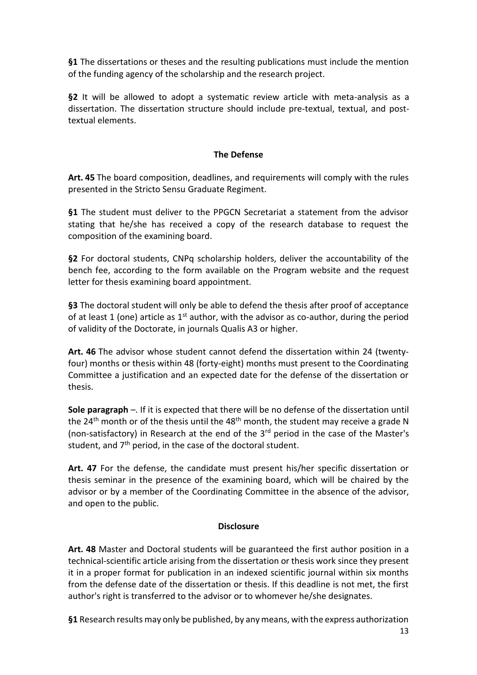**§1** The dissertations or theses and the resulting publications must include the mention of the funding agency of the scholarship and the research project.

**§2** It will be allowed to adopt a systematic review article with meta-analysis as a dissertation. The dissertation structure should include pre-textual, textual, and posttextual elements.

### **The Defense**

**Art. 45** The board composition, deadlines, and requirements will comply with the rules presented in the Stricto Sensu Graduate Regiment.

**§1** The student must deliver to the PPGCN Secretariat a statement from the advisor stating that he/she has received a copy of the research database to request the composition of the examining board.

**§2** For doctoral students, CNPq scholarship holders, deliver the accountability of the bench fee, according to the form available on the Program website and the request letter for thesis examining board appointment.

**§3** The doctoral student will only be able to defend the thesis after proof of acceptance of at least 1 (one) article as  $1^{st}$  author, with the advisor as co-author, during the period of validity of the Doctorate, in journals Qualis A3 or higher.

**Art. 46** The advisor whose student cannot defend the dissertation within 24 (twentyfour) months or thesis within 48 (forty-eight) months must present to the Coordinating Committee a justification and an expected date for the defense of the dissertation or thesis.

**Sole paragraph** –. If it is expected that there will be no defense of the dissertation until the 24<sup>th</sup> month or of the thesis until the 48<sup>th</sup> month, the student may receive a grade N (non-satisfactory) in Research at the end of the 3rd period in the case of the Master's student, and  $7<sup>th</sup>$  period, in the case of the doctoral student.

**Art. 47** For the defense, the candidate must present his/her specific dissertation or thesis seminar in the presence of the examining board, which will be chaired by the advisor or by a member of the Coordinating Committee in the absence of the advisor, and open to the public.

### **Disclosure**

**Art. 48** Master and Doctoral students will be guaranteed the first author position in a technical-scientific article arising from the dissertation or thesis work since they present it in a proper format for publication in an indexed scientific journal within six months from the defense date of the dissertation or thesis. If this deadline is not met, the first author's right is transferred to the advisor or to whomever he/she designates.

**§1** Research results may only be published, by any means, with the express authorization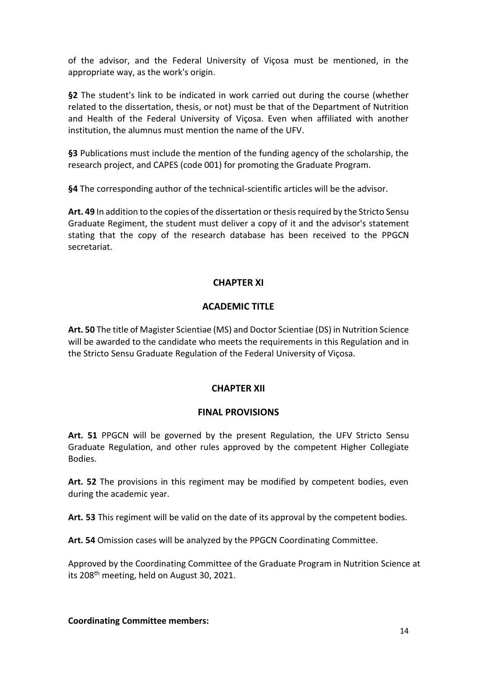of the advisor, and the Federal University of Viçosa must be mentioned, in the appropriate way, as the work's origin.

**§2** The student's link to be indicated in work carried out during the course (whether related to the dissertation, thesis, or not) must be that of the Department of Nutrition and Health of the Federal University of Viçosa. Even when affiliated with another institution, the alumnus must mention the name of the UFV.

**§3** Publications must include the mention of the funding agency of the scholarship, the research project, and CAPES (code 001) for promoting the Graduate Program.

**§4** The corresponding author of the technical-scientific articles will be the advisor.

**Art. 49** In addition to the copies of the dissertation or thesis required by the Stricto Sensu Graduate Regiment, the student must deliver a copy of it and the advisor's statement stating that the copy of the research database has been received to the PPGCN secretariat.

## **CHAPTER XI**

## **ACADEMIC TITLE**

**Art. 50** The title of Magister Scientiae (MS) and Doctor Scientiae (DS) in Nutrition Science will be awarded to the candidate who meets the requirements in this Regulation and in the Stricto Sensu Graduate Regulation of the Federal University of Viçosa.

### **CHAPTER XII**

#### **FINAL PROVISIONS**

**Art. 51** PPGCN will be governed by the present Regulation, the UFV Stricto Sensu Graduate Regulation, and other rules approved by the competent Higher Collegiate Bodies.

**Art. 52** The provisions in this regiment may be modified by competent bodies, even during the academic year.

**Art. 53** This regiment will be valid on the date of its approval by the competent bodies.

**Art. 54** Omission cases will be analyzed by the PPGCN Coordinating Committee.

Approved by the Coordinating Committee of the Graduate Program in Nutrition Science at its 208<sup>th</sup> meeting, held on August 30, 2021.

#### **Coordinating Committee members:**